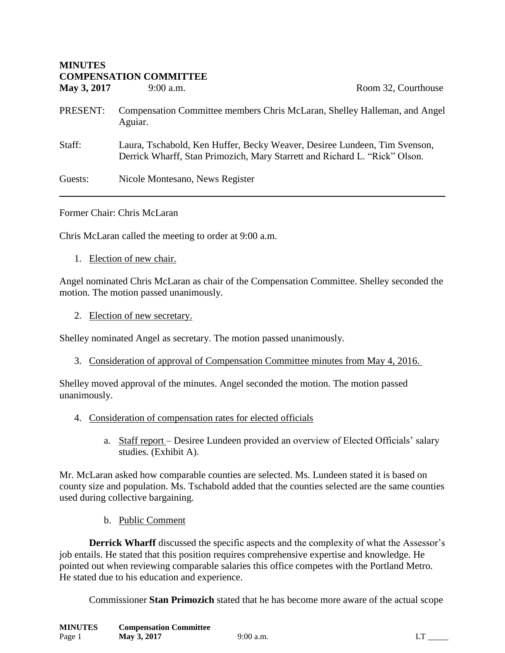| <b>MINUTES</b><br><b>COMPENSATION COMMITTEE</b> |                                                                                      |                                                                                                                                                         |
|-------------------------------------------------|--------------------------------------------------------------------------------------|---------------------------------------------------------------------------------------------------------------------------------------------------------|
| May 3, 2017                                     | $9:00$ a.m.                                                                          | Room 32, Courthouse                                                                                                                                     |
| PRESENT:                                        | Compensation Committee members Chris McLaran, Shelley Halleman, and Angel<br>Aguiar. |                                                                                                                                                         |
| Staff:                                          |                                                                                      | Laura, Tschabold, Ken Huffer, Becky Weaver, Desiree Lundeen, Tim Svenson,<br>Derrick Wharff, Stan Primozich, Mary Starrett and Richard L. "Rick" Olson. |
| Guests:                                         | Nicole Montesano, News Register                                                      |                                                                                                                                                         |

Former Chair: Chris McLaran

**MINUTES** 

Chris McLaran called the meeting to order at 9:00 a.m.

1. Election of new chair.

Angel nominated Chris McLaran as chair of the Compensation Committee. Shelley seconded the motion. The motion passed unanimously.

2. Election of new secretary.

Shelley nominated Angel as secretary. The motion passed unanimously.

3. Consideration of approval of Compensation Committee minutes from May 4, 2016.

Shelley moved approval of the minutes. Angel seconded the motion. The motion passed unanimously.

- 4. Consideration of compensation rates for elected officials
	- a. Staff report Desiree Lundeen provided an overview of Elected Officials' salary studies. (Exhibit A).

Mr. McLaran asked how comparable counties are selected. Ms. Lundeen stated it is based on county size and population. Ms. Tschabold added that the counties selected are the same counties used during collective bargaining.

b. Public Comment

**Derrick Wharff** discussed the specific aspects and the complexity of what the Assessor's job entails. He stated that this position requires comprehensive expertise and knowledge. He pointed out when reviewing comparable salaries this office competes with the Portland Metro. He stated due to his education and experience.

Commissioner **Stan Primozich** stated that he has become more aware of the actual scope